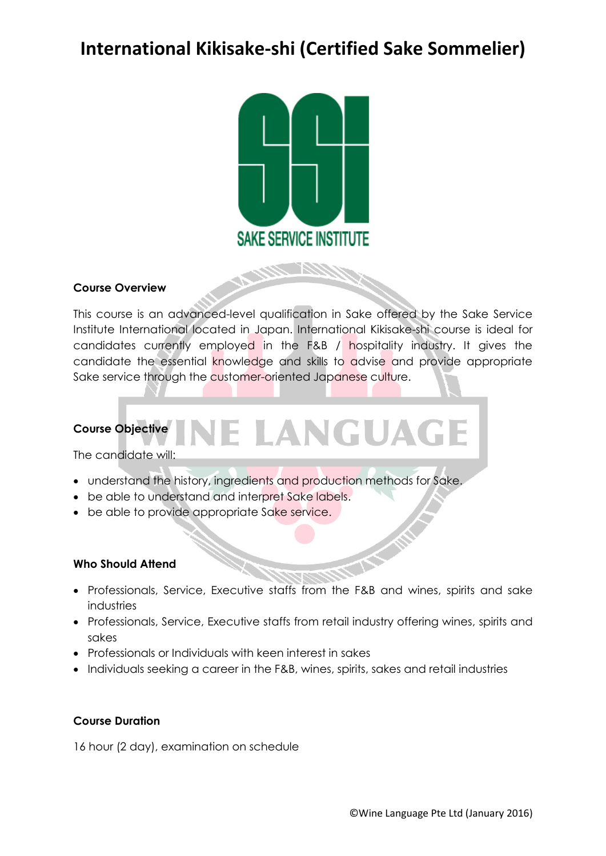# **International Kikisake-shi (Certified Sake Sommelier)**



# **Course Overview**

This course is an advanced-level qualification in Sake offered by the Sake Service Institute International located in Japan. International Kikisake-shi course is ideal for candidates currently employed in the F&B / hospitality industry. It gives the candidate the essential knowledge and skills to advise and provide appropriate Sake service through the customer-oriented Japanese culture.

# E LANGUAGE **Course Objective**

The candidate will:

- understand the history, ingredients and production methods for Sake.
- be able to understand and interpret Sake labels.
- be able to provide appropriate Sake service.

#### **Who Should Attend**

- Professionals, Service, Executive staffs from the F&B and wines, spirits and sake industries
- Professionals, Service, Executive staffs from retail industry offering wines, spirits and sakes
- Professionals or Individuals with keen interest in sakes
- Individuals seeking a career in the F&B, wines, spirits, sakes and retail industries

# **Course Duration**

16 hour (2 day), examination on schedule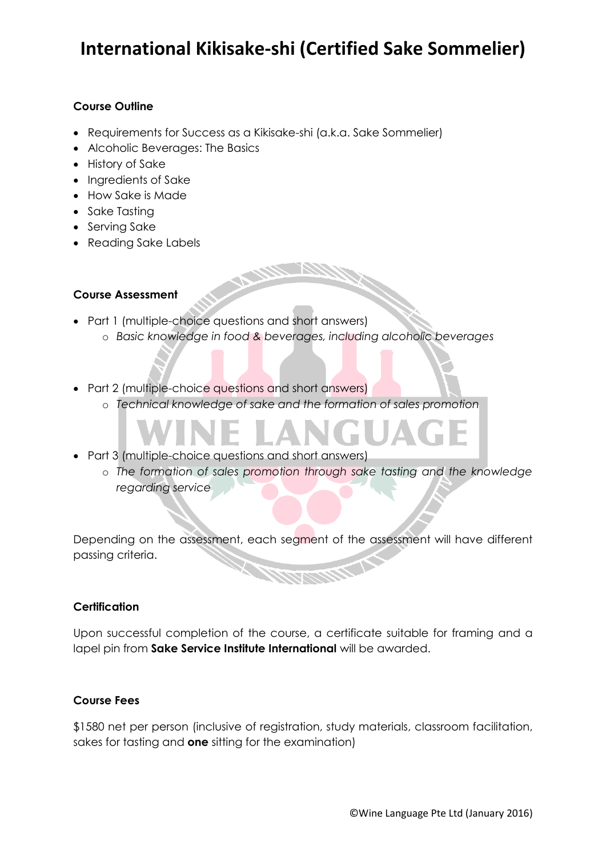# **International Kikisake-shi (Certified Sake Sommelier)**

# **Course Outline**

- Requirements for Success as a Kikisake-shi (a.k.a. Sake Sommelier)
- Alcoholic Beverages: The Basics
- History of Sake
- Ingredients of Sake
- How Sake is Made
- Sake Tastina
- Serving Sake
- Reading Sake Labels

### **Course Assessment**

- Part 1 (multiple-choice questions and short answers)
	- o *Basic knowledge in food & beverages, including alcoholic beverages*
- Part 2 (multiple-choice questions and short answers)
	- o *Technical knowledge of sake and the formation of sales promotion*
- Part 3 (multiple-choice questions and short answers)
	- o *The formation of sales promotion through sake tasting and the knowledge regarding service*

Depending on the assessment, each segment of the assessment will have different passing criteria.

#### **Certification**

Upon successful completion of the course, a certificate suitable for framing and a lapel pin from **Sake Service Institute International** will be awarded.

#### **Course Fees**

\$1580 net per person (inclusive of registration, study materials, classroom facilitation, sakes for tasting and **one** sitting for the examination)